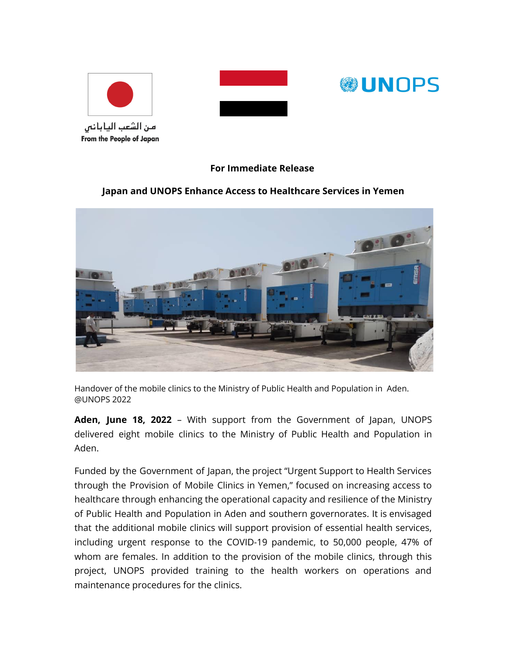





## **For Immediate Release**

## **Japan and UNOPS Enhance Access to Healthcare Services in Yemen**



Handover of the mobile clinics to the Ministry of Public Health and Population in Aden. @UNOPS 2022

**Aden, June 18, 2022** – With support from the Government of Japan, UNOPS delivered eight mobile clinics to the Ministry of Public Health and Population in Aden.

Funded by the Government of Japan, the project "Urgent Support to Health Services through the Provision of Mobile Clinics in Yemen," focused on increasing access to healthcare through enhancing the operational capacity and resilience of the Ministry of Public Health and Population in Aden and southern governorates. It is envisaged that the additional mobile clinics will support provision of essential health services, including urgent response to the COVID-19 pandemic, to 50,000 people, 47% of whom are females. In addition to the provision of the mobile clinics, through this project, UNOPS provided training to the health workers on operations and maintenance procedures for the clinics.